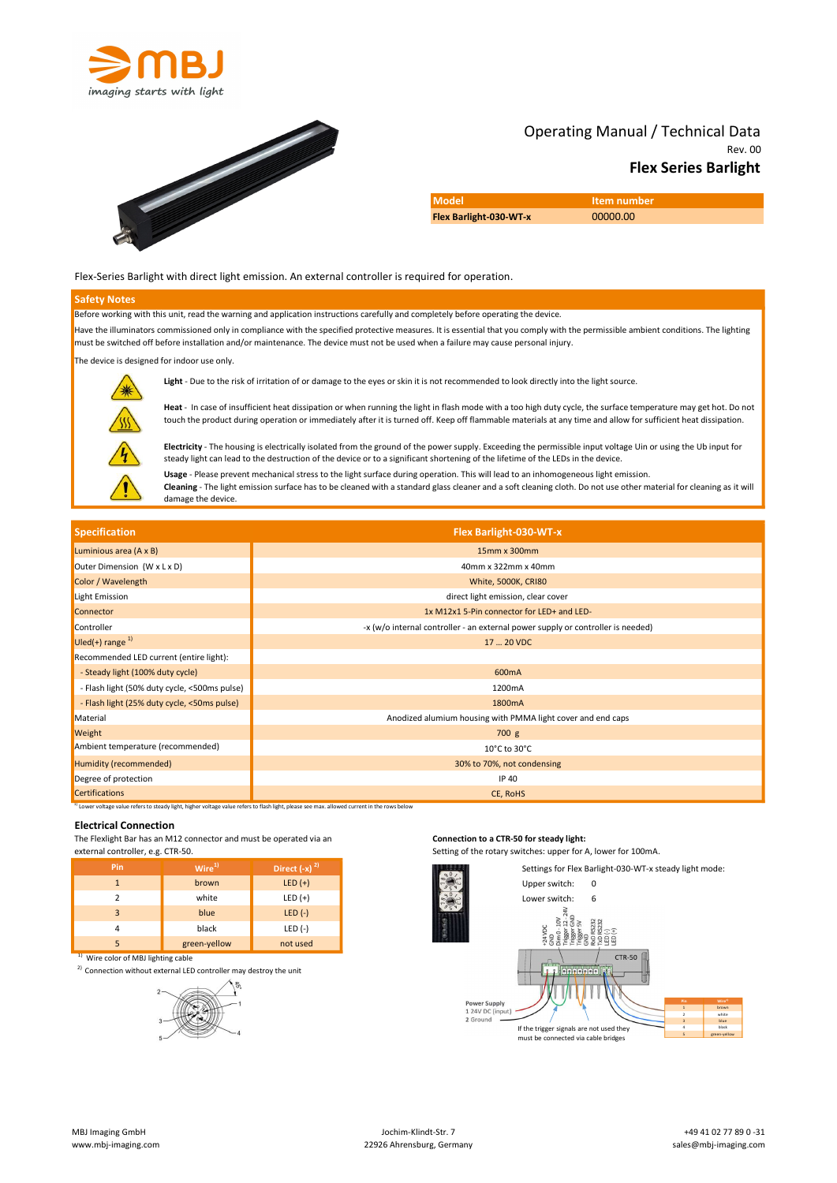



# Rev. 00 Operating Manual / Technical Data Flex Series Barlight

Model **Item number** Flex Barlight-030-WT-x 00000.00

#### Flex-Series Barlight with direct light emission. An external controller is required for operation.

#### Safety Notes

Before working with this unit, read the warning and application instructions carefully and completely before operating the device.

Have the illuminators commissioned only in compliance with the specified protective measures. It is essential that you comply with the permissible ambient conditions. The lighting must be switched off before installation and/or maintenance. The device must not be used when a failure may cause personal injury.

The device is designed for indoor use only.



Light - Due to the risk of irritation of or damage to the eyes or skin it is not recommended to look directly into the light source.

Heat - In case of insufficient heat dissipation or when running the light in flash mode with a too high duty cycle, the surface temperature may get hot. Do not touch the product during operation or immediately after it is turned off. Keep off flammable materials at any time and allow for sufficient heat dissipation.

Electricity - The housing is electrically isolated from the ground of the power supply. Exceeding the permissible input voltage Uin or using the Ub input for steady light can lead to the destruction of the device or to a significant shortening of the lifetime of the LEDs in the device. Usage - Please prevent mechanical stress to the light surface during operation. This will lead to an inhomogeneous light emission.

Cleaning - The light emission surface has to be cleaned with a standard glass cleaner and a soft cleaning cloth. Do not use other material for cleaning as it will damage the device.

| <b>Specification</b>                                              |                                                                                                                                                                                                                               |                   | Flex Barlight-030-WT-x                                                                                    |                                                                                                                                                                                                                                                                                                                      |  |  |
|-------------------------------------------------------------------|-------------------------------------------------------------------------------------------------------------------------------------------------------------------------------------------------------------------------------|-------------------|-----------------------------------------------------------------------------------------------------------|----------------------------------------------------------------------------------------------------------------------------------------------------------------------------------------------------------------------------------------------------------------------------------------------------------------------|--|--|
| Luminious area (A x B)                                            |                                                                                                                                                                                                                               | 15mm x 300mm      |                                                                                                           |                                                                                                                                                                                                                                                                                                                      |  |  |
| Outer Dimension (W x L x D)                                       |                                                                                                                                                                                                                               |                   | 40mm x 322mm x 40mm                                                                                       |                                                                                                                                                                                                                                                                                                                      |  |  |
| Color / Wavelength                                                |                                                                                                                                                                                                                               |                   | <b>White, 5000K, CRI80</b>                                                                                |                                                                                                                                                                                                                                                                                                                      |  |  |
| Light Emission                                                    |                                                                                                                                                                                                                               |                   | direct light emission, clear cover                                                                        |                                                                                                                                                                                                                                                                                                                      |  |  |
| Connector                                                         |                                                                                                                                                                                                                               |                   | 1x M12x1 5-Pin connector for LED+ and LED-                                                                |                                                                                                                                                                                                                                                                                                                      |  |  |
| Controller                                                        |                                                                                                                                                                                                                               |                   | -x (w/o internal controller - an external power supply or controller is needed)                           |                                                                                                                                                                                                                                                                                                                      |  |  |
| Uled(+) range <sup>1)</sup>                                       |                                                                                                                                                                                                                               |                   | 17  20 VDC                                                                                                |                                                                                                                                                                                                                                                                                                                      |  |  |
| Recommended LED current (entire light):                           |                                                                                                                                                                                                                               |                   |                                                                                                           |                                                                                                                                                                                                                                                                                                                      |  |  |
| - Steady light (100% duty cycle)                                  |                                                                                                                                                                                                                               |                   | 600mA                                                                                                     |                                                                                                                                                                                                                                                                                                                      |  |  |
| - Flash light (50% duty cycle, <500ms pulse)                      |                                                                                                                                                                                                                               |                   | 1200mA                                                                                                    |                                                                                                                                                                                                                                                                                                                      |  |  |
| - Flash light (25% duty cycle, <50ms pulse)                       |                                                                                                                                                                                                                               |                   | 1800mA                                                                                                    |                                                                                                                                                                                                                                                                                                                      |  |  |
| Material                                                          |                                                                                                                                                                                                                               |                   |                                                                                                           | Anodized alumium housing with PMMA light cover and end caps                                                                                                                                                                                                                                                          |  |  |
| Weight                                                            |                                                                                                                                                                                                                               |                   | 700 g                                                                                                     |                                                                                                                                                                                                                                                                                                                      |  |  |
| Ambient temperature (recommended)                                 |                                                                                                                                                                                                                               |                   | 10°C to 30°C                                                                                              |                                                                                                                                                                                                                                                                                                                      |  |  |
| <b>Humidity (recommended)</b>                                     |                                                                                                                                                                                                                               |                   | 30% to 70%, not condensing                                                                                |                                                                                                                                                                                                                                                                                                                      |  |  |
| Degree of protection                                              |                                                                                                                                                                                                                               |                   | IP 40                                                                                                     |                                                                                                                                                                                                                                                                                                                      |  |  |
| <b>Certifications</b>                                             |                                                                                                                                                                                                                               | CE, RoHS          |                                                                                                           |                                                                                                                                                                                                                                                                                                                      |  |  |
| <b>Electrical Connection</b><br>external controller, e.g. CTR-50. | <sup>1)</sup> Lower voltage value refers to steady light, higher voltage value refers to flash light, please see max. allowed current in the rows below<br>The Flexlight Bar has an M12 connector and must be operated via an |                   | Connection to a CTR-50 for steady light:<br>Setting of the rotary switches: upper for A, lower for 100mA. |                                                                                                                                                                                                                                                                                                                      |  |  |
| Pin                                                               | Wire <sup>1</sup>                                                                                                                                                                                                             | Direct $(-x)^{2}$ |                                                                                                           | Settings for Flex Barlight-030-WT-x steady light mode:                                                                                                                                                                                                                                                               |  |  |
| $\mathbf{1}$                                                      | brown                                                                                                                                                                                                                         | $LED (+)$         | Upper switch:                                                                                             | 0                                                                                                                                                                                                                                                                                                                    |  |  |
| $\overline{2}$                                                    | white                                                                                                                                                                                                                         | $LED (+)$         | Lower switch:                                                                                             | 6                                                                                                                                                                                                                                                                                                                    |  |  |
| $\overline{3}$                                                    | blue                                                                                                                                                                                                                          | $LED (-)$         |                                                                                                           |                                                                                                                                                                                                                                                                                                                      |  |  |
| $\overline{4}$                                                    | black                                                                                                                                                                                                                         | $LED (-)$         | <b>ARR</b>                                                                                                |                                                                                                                                                                                                                                                                                                                      |  |  |
| 5                                                                 | green-yellow                                                                                                                                                                                                                  | not used          |                                                                                                           | 동종중명명                                                                                                                                                                                                                                                                                                                |  |  |
| <sup>1)</sup> Wire color of MBJ lighting cable                    | <sup>2)</sup> Connection without external LED controller may destroy the unit                                                                                                                                                 |                   | <b>Power Supply</b><br>1 24V DC (input)<br>2 Ground                                                       | <b>CTR-50</b><br>$\frac{1}{2}$ elements of $\frac{1}{2}$<br>brown<br>$% \left\vert \psi _{n}\right\rangle \left\vert \psi _{n}\right\rangle \left\langle \psi _{n}\right\vert$ white<br>blue<br>$_{\text{black}}$<br>If the trigger signals are not used they<br>green-yellow<br>must be connected via cable bridges |  |  |
| <b>MBJ Imaging GmbH</b>                                           |                                                                                                                                                                                                                               |                   | Jochim-Klindt-Str. 7                                                                                      | +49 41 02 77 89 0 -31                                                                                                                                                                                                                                                                                                |  |  |

### Electrical Connection

| Pin            | Wire <sup>1</sup> | Direct $(-x)^{2}$ |  |
|----------------|-------------------|-------------------|--|
| $\mathbf{1}$   | brown             | $LED (+)$         |  |
| $\overline{2}$ | white             | $LED (+)$         |  |
| 3              | blue              | $LED (-)$         |  |
| 4              | black             | $LED (-)$         |  |
|                | green-yellow      | not used          |  |